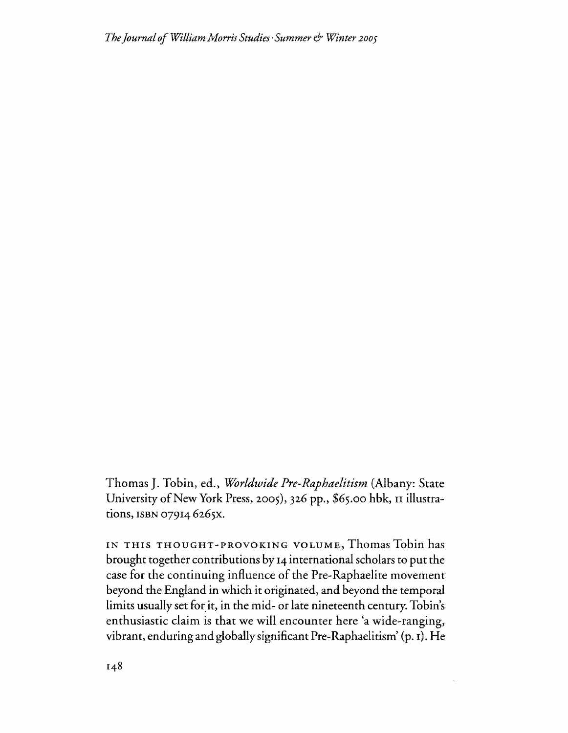Thomas J. Tobin, ed., *Worldwide Pre-Raphaelitism* (Albany: State University of New York Press, 2005), 326 pp., \$65.00 hbk, II illustrations, ISBN 07914 6265X.

IN THIS THOUGHT-PROVOKING VOLUME, Thomas Tobin has brought together contributions by 14 international scholars to put the case for the continuing influence of the Pre-Raphaelite movement beyond the England in which it originated, and beyond the temporal limits usually set for it, in the mid- or late nineteenth century. Tobin's enthusiastic claim is that we will encounter here 'a wide-ranging, vibrant, enduring and globallysignificant Pre-Raphaelitism' (p. I). He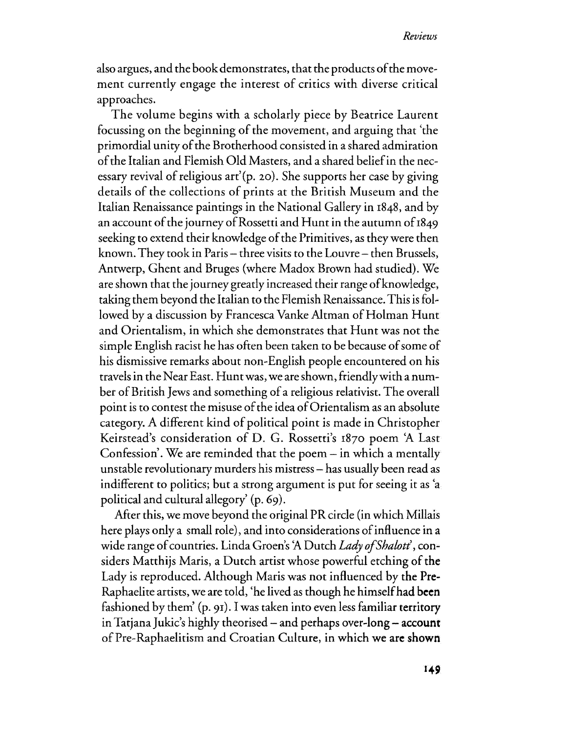also argues, and the book demonstrates, that the products of the movement currently engage the interest of critics with diverse critical approaches.

The volume begins with a scholarly piece by Beatrice Laurent focussing on the beginning of the movement, and arguing that 'the primordial unity of the Brotherhood consisted in a shared admiration ofthe Italian and Flemish Old Masters, and a shared beliefin the necessary revival of religious art'(p. 20). She supports her case by giving details of the collections of prints at the British Museum and the Italian Renaissance paintings in the National Gallery in 1848, and by an account of the journey of Rossetti and Hunt in the autumn of 1849 seeking to extend their knowledge of the Primitives, as they were then known. They took in Paris – three visits to the Louvre – then Brussels, Antwerp, Ghent and Bruges (where Madox Brown had studied). We are shown that the journey greatly increased their range of knowledge, taking them beyond the Italian to the Flemish Renaissance. This is followed by a discussion by Francesca Vanke Altman of Holman Hunt and Orientalism, in which she demonstrates that Hunt was not the simple English racist he has often been taken to be because of some of his dismissive remarks about non-English people encountered on his travelsin the Near East. Hunt was, we are shown, friendlywith a number of British Jews and something of a religious relativist. The overall point is to contest the misuse of the idea of Orientalism as an absolute category. A different kind of political point is made in Christopher Keirstead's consideration of D. G. Rossetti's r870 poem 'A Last Confession'. We are reminded that the poem  $-$  in which a mentally unstable revolutionary murders his mistress- has usually been read as indifferent to politics; but a strong argument is put for seeing it as 'a political and cultural allegory' (p. 69).

After this, we move beyond the original PRcircle (in which Millais here plays only a small role), and into considerations of influence in a wide range of countries. Linda Groen's 'A Dutch *Lady of Shalott'*, considers Matthijs Maris, a Dutch artist whose powerful etching of the Lady is reproduced. Although Maris was not influenced by the Pre-Raphaelite artists, we are told, 'he lived as though he himselfhad **been** fashioned by them'  $(p, 91)$ . I was taken into even less familiar territory in Tatjana Jukic's highly theorised  $-$  and perhaps over-long  $-$  account of Pre-Raphaelitism and Croatian Culture, in which we are shown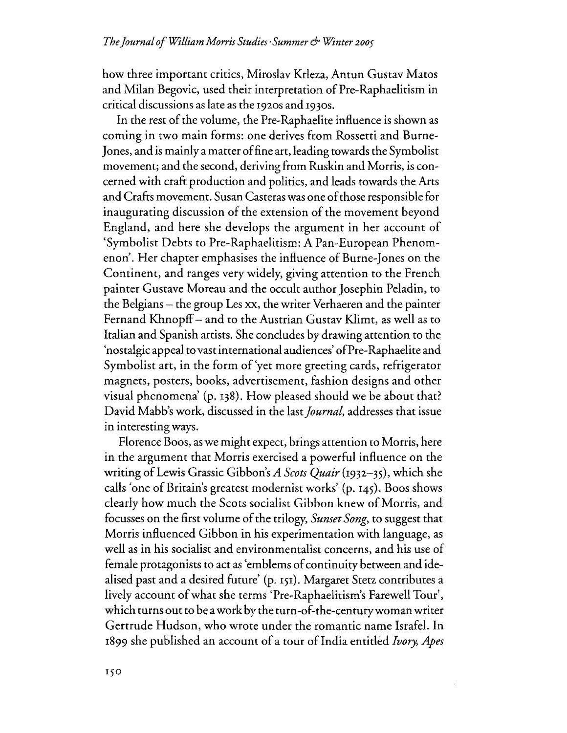how three important critics, Miroslav Krleza, Antun Gustav Matos and Milan Begovic, used their interpretation of Pre-Raphaelitism in critical discussions as late as the 1920s and 1930s.

In the rest of the volume, the Pre-Raphaelite influence is shown as coming in two main forms: one derives from Rossetti and Burne- ]ones, and is mainly a matter offine art, leading towards the Symbolist movement; and the second, deriving from Ruskin and Morris, is concerned with craft production and politics, and leads towards the Arts and Crafts movement. Susan Casteras was one of those responsible for inaugurating discussion of the extension of the movement beyond England, and here she develops the argument in her account of 'Symbolist Debts to Pre-Raphaelitism: A Pan-European Phenomenon'. Her chapter emphasises the influence of Burne-Jones on the Continent, and ranges very widely, giving attention to the French painter Gustave Moreau and the occult author ]osephin Peladin, to the Belgians- the group Les xx, the writer Verhaeren and the painter Fernand Khnopff- and to the Austrian Gustav Klimt, as well as to Italian and Spanish artists. She concludes by drawing attention to the 'nostalgic appeal to vast international audiences' ofPre-Raphaelite and Symbolist art, in the form of'yet more greeting cards, refrigerator magnets, posters, books, advertisement, fashion designs and other visual phenomena' (p. 138). How pleased should we be about that? David Mabb's work, discussed in the last *Journal*, addresses that issue in interesting ways.

Florence Boos, as we might expect, brings attention to Morris, here in the argument that Morris exercised a powerful influence on the writing ofLewis Grassic Gibbon's *A Scots Quair* (1932-35), which she calls 'one of Britain's greatest modernist works' (p. 145). Boos shows clearly how much the Scots socialist Gibbon knew of Morris, and focusses on the first volume ofthe trilogy, *Sunset Song,* to suggest that Morris influenced Gibbon in his experimentation with language, as well as in his socialist and environmentalist concerns, and his use of female protagonists to act as 'emblems of continuity between and idealised past and a desired future' (p. 151). Margaret Stetz contributes a lively account of what she terms 'Pre-Raphaelitism's Farewell Tour', which turns out to be awork by the turn-of-the-centurywomanwriter Gertrude Hudson, who wrote under the romantic name Israfel. Ih 1899 she published an account of a tour of India entitled *Ivory*, Apes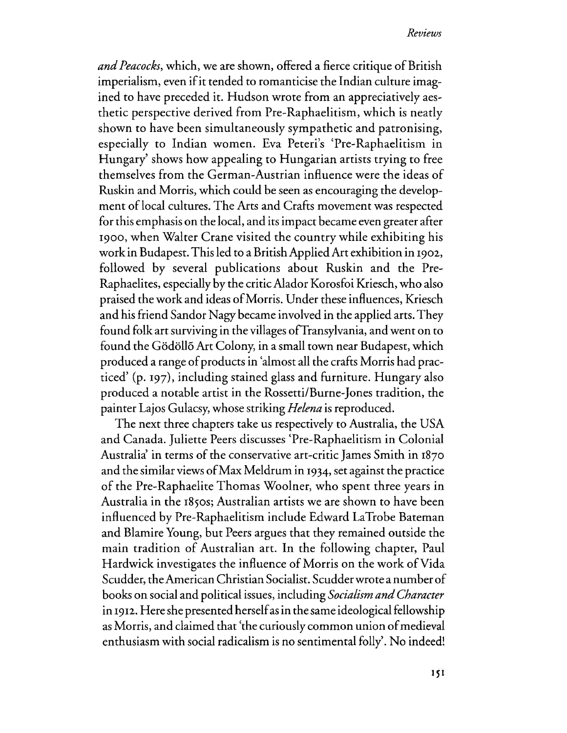and Peacocks, which, we are shown, offered a fierce critique of British imperialism, even if it tended to romanticise the Indian culture imagined to have preceded it. Hudson wrote from an appreciatively aesthetic perspective derived from Pre-Raphaelitism, which is neatly shown to have been simultaneously sympathetic and patronising, especially to Indian women. Eva Peteri's 'Pre-Raphaelitism in Hungary' shows how appealing to Hungarian artists trying to free themselves from the German-Austrian influence were the ideas of Ruskin and Morris, which could be seen as encouraging the development of local cultures. The Arts and Crafts movement was respected for this emphasis on the local, and itsimpact became even greater after 1900, when Waiter Crane visited the country while exhibiting his work in Budapest. Thisled to aBritishApplied Art exhibition in 1902, followed by several publications about Ruskin and the Pre-Raphaelites, especially by the criticAlador Korosfoi Kriesch, who also praised the work and ideas ofMorris. Under these influences, Kriesch and his friend Sandor Nagy became involved in the applied arts. They found folk art surviving in the villages of Transylvania, and went on to found the Gödöllő Art Colony, in a small town near Budapest, which produced a range of products in 'almost all the crafts Morris had practiced' (p. 197), including stained glass and furniture. Hungary also produced a notable artist in the Rossetti/Burne-Jones tradition, the painter Lajos Gulacsy, whose striking *Helena* is reproduced.

The next three chapters take us respectively to Australia, the USA and Canada. Juliette Peers discusses 'Pre-Raphaelitism in Colonial Australia' in terms of the conservative art-critic James Smith in 1870 and the similar views ofMax Meldrum in 1934, set against the practice of the Pre-Raphaelite Thomas Woolner, who spent three years in Australia in the 1850s; Australian artists we are shown to have been influenced by Pre-Raphaelitism include Edward LaTrobe Bateman and Blamire Young, but Peers argues that they remained outside the main tradition of Australian art. In the following chapter, Paul Hardwick investigates the influence of Morris on the work of Vida Scudder, theAmerican Christian Socialist. Scudderwrote a numberof books on social and political issues, including *Socialism andCharacter* in 1912. Here she presented herself as in the same ideological fellowship as Morris, and claimed that 'the curiously common union ofmedieval enthusiasm with social radicalism is no sentimental folly'. No indeed!